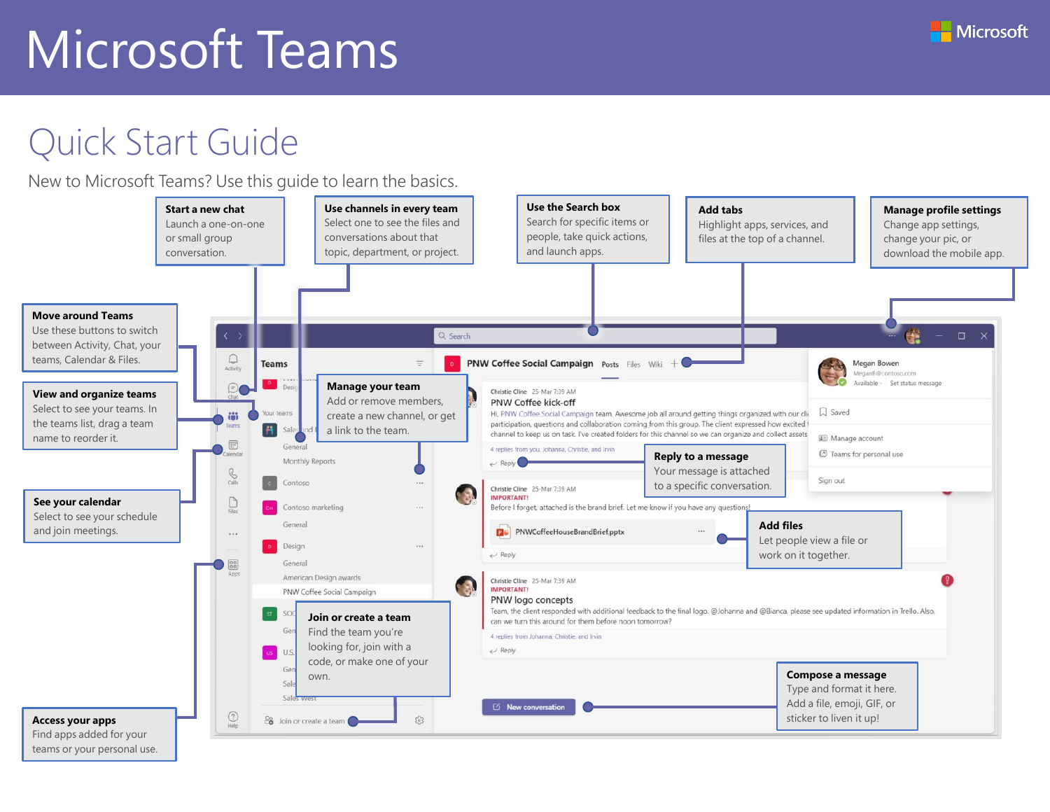# Quick Start Guide

New to Microsoft Teams? Use this guide to learn the basics.



teams or your personal use.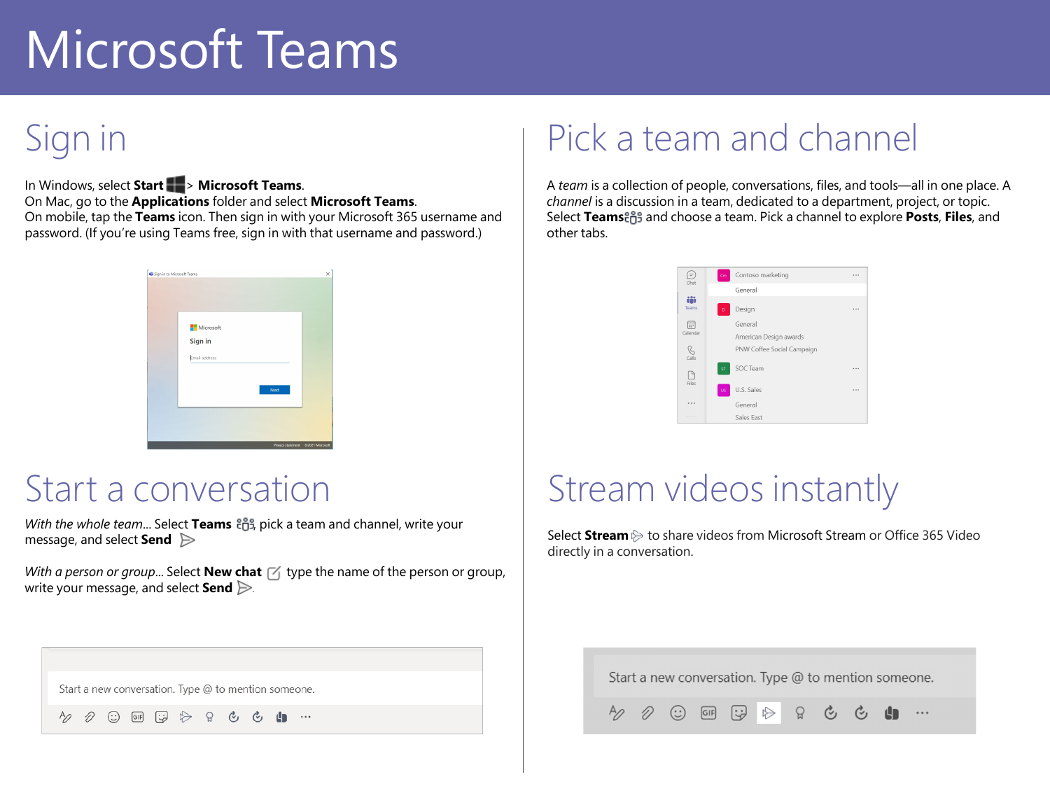# Sign in

In Windows, select **Start** > **Microsoft Teams**. On Mac, go to the **Applications** folder and select **Microsoft Teams**. On mobile, tap the **Teams** icon. Then sign in with your Microsoft 365 username and password. (If you're using Teams free, sign in with that username and password.)



#### Start a conversation

*With the whole team...* Select **Teams**  $\frac{8}{12}$ , pick a team and channel, write your message, and select **Send** .

*With a person or group...* Select **New chat**  $\leq$  type the name of the person or group, write your message, and select **Send** .

## Pick a team and channel

A *team* is a collection of people, conversations, files, and tools—all in one place. A *channel* is a discussion in a team, dedicated to a department, project, or topic. Select **Teams** and choose a team. Pick a channel to explore **Posts**, **Files**, and other tabs.



# Stream videos instantly

Select **Stream** to share videos from Microsoft Stream or Office 365 Video directly in a conversation.

Start a new conversation. Type @ to mention someone.

 $\odot$  (GIF)  $\mathbb{G} \Rightarrow$  $\circledcirc$   $\circledcirc$   $\bullet$   $\bullet$   $\bullet$  $\Omega$ 

Start a new conversation. Type @ to mention someone.

D Aρ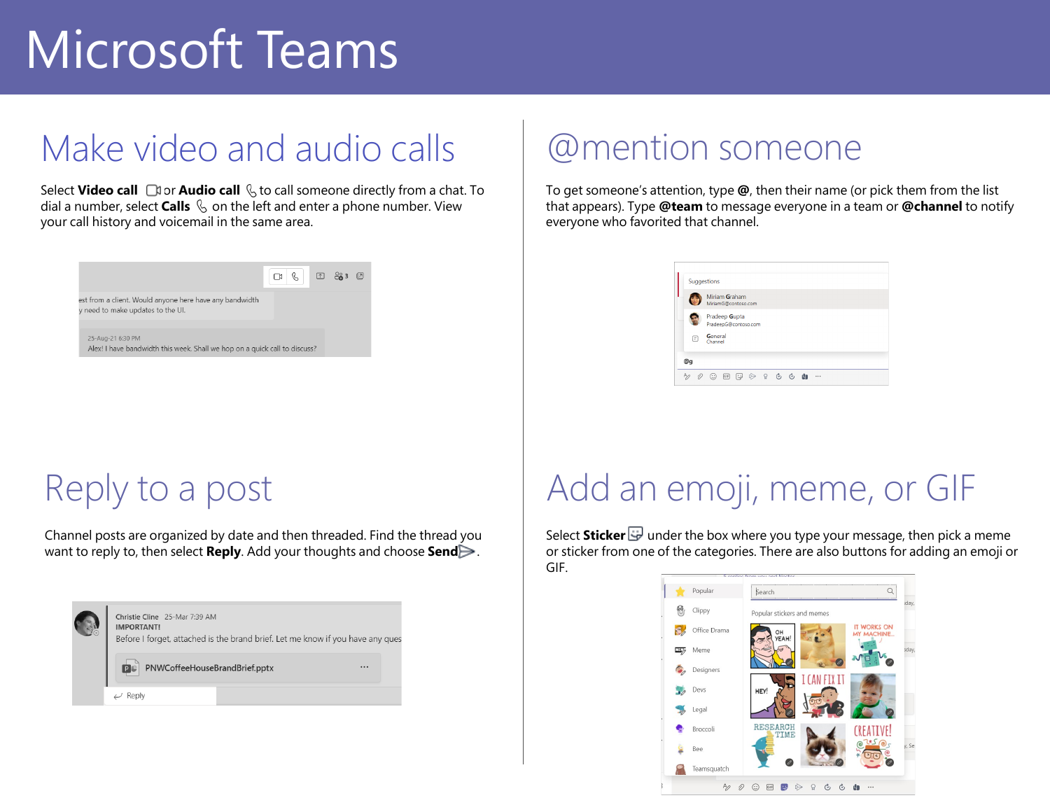# Make video and audio calls

Select **Video call**  $\Box$  or **Audio call**  $\&$  to call someone directly from a chat. To dial a number, select **Calls**  $\&$  on the left and enter a phone number. View your call history and voicemail in the same area.



### @mention someone

To get someone's attention, type **@**, then their name (or pick them from the list that appears). Type **@team** to message everyone in a team or **@channel** to notify everyone who favorited that channel.

|   | Miriam Graham<br>MiriamG@contoso.com  |  |  |  |  |
|---|---------------------------------------|--|--|--|--|
|   | Pradeep Gupta<br>PradeepG@contoso.com |  |  |  |  |
| Θ | General<br>Channel                    |  |  |  |  |

#### Reply to a post

Channel posts are organized by date and then threaded. Find the thread you want to reply to, then select **Reply**. Add your thoughts and choose **Send**.

| Christie Cline 25-Mar 7:39 AM<br><b>IMPORTANT!</b><br>Before I forget, attached is the brand brief. Let me know if you have any ques<br>PNWCoffeeHouseBrandBrief.pptx<br>PC<br> |  |
|---------------------------------------------------------------------------------------------------------------------------------------------------------------------------------|--|
| Keply                                                                                                                                                                           |  |

# Add an emoji, meme, or GIF

Select **Sticker**  $\overline{\mathbf{w}}$  under the box where you type your message, then pick a meme or sticker from one of the categories. There are also buttons for adding an emoji or GIF.

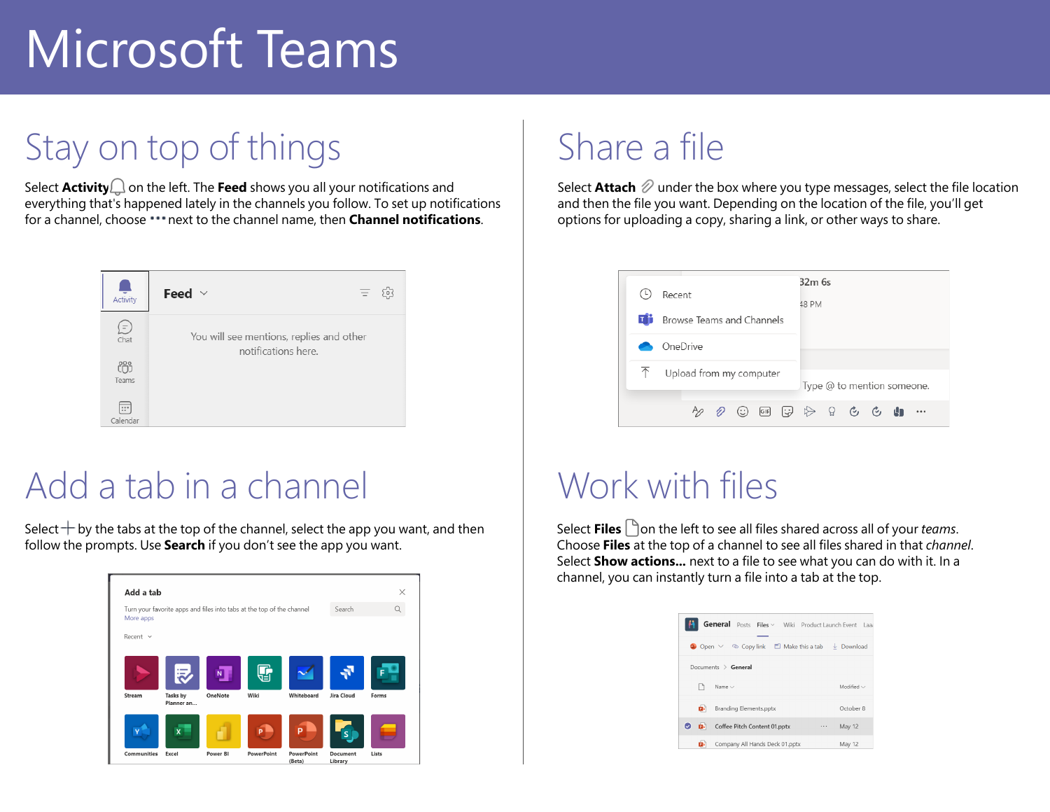# Stay on top of things

Select  $Activity \bigcup$  on the left. The **Feed** shows you all your notifications and everything that's happened lately in the channels you follow. To set up notifications for a channel, choose \*\*\* next to the channel name, then **Channel notifications**.

![](_page_3_Picture_3.jpeg)

### Add a tab in a channel

Select  $+$  by the tabs at the top of the channel, select the app you want, and then follow the prompts. Use **Search** if you don't see the app you want.

![](_page_3_Picture_6.jpeg)

### Share a file

Select **Attach**  $\emptyset$  under the box where you type messages, select the file location and then the file you want. Depending on the location of the file, you'll get options for uploading a copy, sharing a link, or other ways to share.

![](_page_3_Figure_9.jpeg)

### Work with files

Select **Files**  $\Box$  on the left to see all files shared across all of your *teams*. Choose **Files** at the top of a channel to see all files shared in that *channel*. Select **Show actions...** next to a file to see what you can do with it. In a channel, you can instantly turn a file into a tab at the top.

| General Posts Files v Wiki Product Launch Event Laad                    |                 |
|-------------------------------------------------------------------------|-----------------|
| <b>D</b> Open $\vee$ © Copy link $\Box$ Make this a tab $\bot$ Download |                 |
| Documents $\ge$ General                                                 |                 |
| Name $\vee$                                                             | Modified $\vee$ |
| p.<br>Branding Elements.pptx                                            | October 8       |
| $\omega$<br><b>B</b><br>Coffee Pitch Content 01.pptx<br>                | May 12          |
| Company All Hands Deck 01.pptx<br>Ď۰                                    | May 12          |